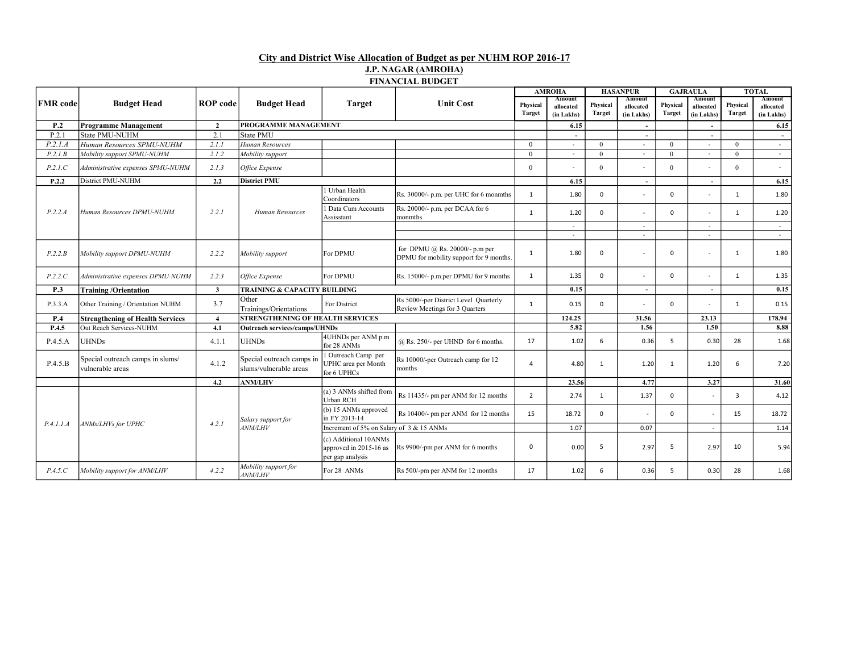## City and District Wise Allocation of Budget as per NUHM ROP 2016-17 J.P. NAGAR (AMROHA) FINANCIAL BUDGET

|                 |                                                      |                 |                                                     |                                                                     |                                                                           | <b>AMROHA</b>      |                                   | <b>HASANPUR</b>           |                                   | <b>GAJRAULA</b>           |                                   | <b>TOTAL</b>              |                                   |
|-----------------|------------------------------------------------------|-----------------|-----------------------------------------------------|---------------------------------------------------------------------|---------------------------------------------------------------------------|--------------------|-----------------------------------|---------------------------|-----------------------------------|---------------------------|-----------------------------------|---------------------------|-----------------------------------|
| <b>FMR</b> code | <b>Budget Head</b>                                   | <b>ROP</b> code | <b>Budget Head</b>                                  | <b>Target</b>                                                       | <b>Unit Cost</b>                                                          | Physical<br>Target | Amount<br>allocated<br>(in Lakhs) | Physical<br><b>Target</b> | Amount<br>allocated<br>(in Lakhs) | Physical<br><b>Target</b> | Amount<br>allocated<br>(in Lakhs) | Physical<br><b>Target</b> | Amount<br>allocated<br>(in Lakhs) |
| P <sub>.2</sub> | <b>Programme Management</b>                          | $\overline{2}$  | <b>PROGRAMME MANAGEMENT</b>                         |                                                                     |                                                                           |                    | 6.15                              |                           | $\overline{\phantom{a}}$          |                           |                                   |                           | 6.15                              |
| P.2.1           | State PMU-NUHM                                       | 2.1             | State PMU                                           |                                                                     |                                                                           |                    | $\overline{\phantom{a}}$          |                           | $\sim$                            |                           | $\overline{\phantom{a}}$          |                           | $\overline{\phantom{a}}$          |
| P.2.1.A         | Human Resources SPMU-NUHM                            | 2.1.1           | Human Resources                                     |                                                                     |                                                                           | $\Omega$           |                                   | $\theta$                  | $\sim$                            | $\Omega$                  | $\sim$                            | $\Omega$                  | $\sim$                            |
| P.2.1B          | Mobility support SPMU-NUHM                           | 2.1.2           | Mobility support                                    |                                                                     |                                                                           | $\theta$           | $\sim$                            | $\theta$                  | $\sim$                            | $\Omega$                  | $\sim$                            | $\Omega$                  | $\sim$                            |
| P.2.1.C         | Administrative expenses SPMU-NUHM                    | 2.1.3           | Office Expense                                      |                                                                     |                                                                           | $\theta$           |                                   | $\Omega$                  |                                   | $\Omega$                  | $\overline{\phantom{a}}$          | $\theta$                  | $\sim$                            |
| P.2.2           | District PMU-NUHM                                    | 2.2             | <b>District PMU</b>                                 |                                                                     |                                                                           |                    | 6.15                              |                           | $\overline{\phantom{a}}$          |                           |                                   |                           | 6.15                              |
|                 |                                                      |                 | Human Resources                                     | Urban Health<br>Coordinators                                        | Rs. 30000/- p.m. per UHC for 6 monmths                                    | 1                  | 1.80                              | $\mathbf 0$               |                                   | $\Omega$                  | $\overline{\phantom{a}}$          | 1                         | 1.80                              |
| P.2.2.A         | Human Resources DPMU-NUHM                            | 2.2.1           |                                                     | Data Cum Accounts<br>Assisstant                                     | Rs. 20000/- p.m. per DCAA for 6<br>monmths                                | $\mathbf{1}$       | 1.20                              | 0                         |                                   | $\Omega$                  |                                   | 1                         | 1.20                              |
|                 |                                                      |                 |                                                     |                                                                     |                                                                           |                    | $\sim$                            |                           | $\sim$                            |                           | $\sim$                            |                           | $\sim$                            |
|                 |                                                      |                 |                                                     |                                                                     |                                                                           |                    | $\sim$                            |                           | $\sim$                            |                           | $\sim$                            |                           | $\sim$                            |
| P.2.2.B         | Mobility support DPMU-NUHM                           | 2.2.2           | Mobility support                                    | For DPMU                                                            | for DPMU @ Rs. 20000/- p.m per<br>DPMU for mobility support for 9 months. | $\mathbf{1}$       | 1.80                              | 0                         |                                   | $\Omega$                  | $\sim$                            | $\mathbf{1}$              | 1.80                              |
| P.2.2.C         | Administrative expenses DPMU-NUHM                    | 2.2.3           | Office Expense                                      | For DPMU                                                            | Rs. 15000/- p.m.per DPMU for 9 months                                     | $\mathbf{1}$       | 1.35                              | $\mathbf{0}$              |                                   | $\mathbf{0}$              |                                   | $\mathbf{1}$              | 1.35                              |
| P.3             | <b>Training/Orientation</b>                          | $\mathbf{3}$    | TRAINING & CAPACITY BUILDING                        |                                                                     |                                                                           |                    | 0.15                              |                           | $\overline{\phantom{a}}$          |                           | $\overline{\phantom{a}}$          |                           | 0.15                              |
| P.3.3.A         | Other Training / Orientation NUHM                    | 3.7             | Other<br>Trainings/Orientations                     | For District                                                        | Rs 5000/-per District Level Quarterly<br>Review Meetings for 3 Quarters   | $\mathbf{1}$       | 0.15                              | $\mathbf{0}$              |                                   | $\Omega$                  |                                   | 1                         | 0.15                              |
| P.4             | <b>Strengthening of Health Services</b>              | $\overline{4}$  | <b>STRENGTHENING OF HEALTH SERVICES</b>             |                                                                     |                                                                           | 124.25             |                                   | 31.56                     |                                   | 23.13                     |                                   | 178.94                    |                                   |
| P.4.5           | Out Reach Services-NUHM                              | 4.1             | Outreach services/camps/UHNDs                       |                                                                     |                                                                           |                    | 5.82                              |                           | 1.56                              |                           | 1.50                              |                           | 8.88                              |
| P.4.5.A         | <b>UHNDs</b>                                         | 4.1.1           | <b>UHNDs</b>                                        | 4UHNDs per ANM p.m<br>for 28 ANMs                                   | $(a)$ Rs. 250/- per UHND for 6 months.                                    | 17                 | 1.02                              | 6                         | 0.36                              | 5                         | 0.30                              | 28                        | 1.68                              |
| P.4.5.B         | Special outreach camps in slums/<br>vulnerable areas | 4.1.2           | Special outreach camps in<br>slums/vulnerable areas | Outreach Camp per<br><b>UPHC</b> area per Month<br>for 6 UPHCs      | Rs 10000/-per Outreach camp for 12<br>months                              | 4                  | 4.80                              | $\mathbf{1}$              | 1.20                              | 1                         | 1.20                              | 6                         | 7.20                              |
|                 |                                                      | 4.2             | <b>ANM/LHV</b>                                      |                                                                     |                                                                           |                    | 23.56                             |                           | 4.77                              |                           | 3.27                              |                           | 31.60                             |
|                 | ANMs/LHVs for UPHC                                   |                 | Salary support for<br><i>ANM/LHV</i>                | (a) 3 ANMs shifted from<br>Urban RCH                                | Rs 11435/- pm per ANM for 12 months                                       | $\overline{2}$     | 2.74                              | 1                         | 1.37                              | $\Omega$                  |                                   | 3                         | 4.12                              |
| P.4.1.1.4       |                                                      | 4.2.1           |                                                     | (b) 15 ANMs approved<br>in FY 2013-14                               | Rs 10400/- pm per ANM for 12 months                                       | 15                 | 18.72                             | $\mathbf{0}$              | $\overline{\phantom{a}}$          | $\Omega$                  | ÷,                                | 15                        | 18.72                             |
|                 |                                                      |                 |                                                     | Increment of 5% on Salary of 3 & 15 ANMs                            |                                                                           |                    | 1.07                              |                           | 0.07                              |                           |                                   |                           | 1.14                              |
|                 |                                                      |                 |                                                     | (c) Additional 10ANMs<br>approved in 2015-16 as<br>per gap analysis | Rs 9900/-pm per ANM for 6 months                                          | $\mathbf{0}$       | 0.00                              | 5                         | 2.97                              | .5                        | 2.97                              | 10                        | 5.94                              |
| P.4.5.C         | Mobility support for ANM/LHV                         | 4.2.2           | Mobility support for<br><b>ANM/LHV</b>              | For 28 ANMs                                                         | Rs 500/-pm per ANM for 12 months                                          | 17                 | 1.02                              | 6                         | 0.36                              | .5                        | 0.30                              | 28                        | 1.68                              |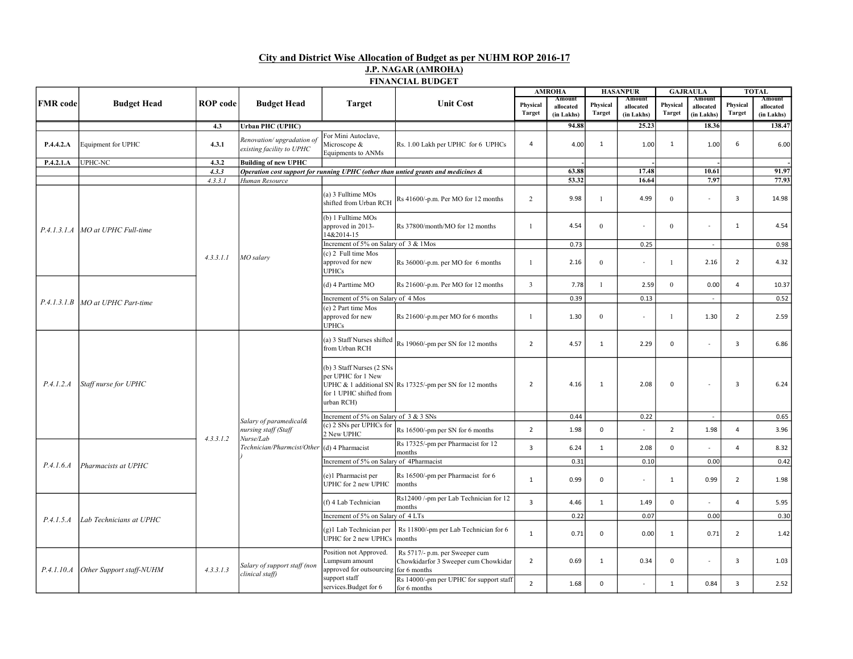## City and District Wise Allocation of Budget as per NUHM ROP 2016-17 J.P. NAGAR (AMROHA) FINANCIAL BUDGET

|                 |                                    |                         |                                                             |                                                                                          |                                                                                   | <b>AMROHA</b>      |                                   | <b>HASANPUR</b>    |                                   | <b>GAJRAULA</b>           |                                   |                    | <b>TOTAL</b>                      |
|-----------------|------------------------------------|-------------------------|-------------------------------------------------------------|------------------------------------------------------------------------------------------|-----------------------------------------------------------------------------------|--------------------|-----------------------------------|--------------------|-----------------------------------|---------------------------|-----------------------------------|--------------------|-----------------------------------|
| <b>FMR</b> code | <b>Budget Head</b>                 | <b>ROP</b> code         | <b>Budget Head</b>                                          | <b>Target</b>                                                                            | <b>Unit Cost</b>                                                                  | Physical<br>Target | Amount<br>allocated<br>(in Lakhs) | Physical<br>Target | Amount<br>allocated<br>(in Lakhs) | Physical<br><b>Target</b> | Amount<br>allocated<br>(in Lakhs) | Physical<br>Target | Amount<br>allocated<br>(in Lakhs) |
|                 |                                    | 4.3                     | <b>Urban PHC (UPHC)</b>                                     |                                                                                          |                                                                                   |                    | 94.88                             |                    | 25.23                             |                           | 18.36                             |                    | 138.47                            |
| P.4.4.2.A       | Equipment for UPHC                 | 4.3.1                   | Renovation/upgradation of<br>existing facility to UPHC      | For Mini Autoclave,<br>Microscope &<br>Equipments to ANMs                                | Rs. 1.00 Lakh per UPHC for 6 UPHCs                                                | 4                  | 4.00                              | $\mathbf{1}$       | 1.00                              | 1                         | 1.00                              | 6                  | 6.00                              |
| P.4.2.1.A       | UPHC-NC                            | 4.3.2                   | <b>Building of new UPHC</b>                                 |                                                                                          |                                                                                   |                    |                                   |                    |                                   |                           |                                   |                    |                                   |
|                 |                                    | 4.3.3                   |                                                             |                                                                                          | Operation cost support for running UPHC (other than untied grants and medicines & |                    | 63.88                             |                    | 17.48                             |                           | 10.61                             |                    | 91.97                             |
|                 |                                    | 4.3.3.1                 | Human Resource                                              |                                                                                          |                                                                                   |                    | 53.32                             |                    | 16.64                             |                           | 7.97                              |                    | 77.93                             |
|                 | P.4.1.3.1.A MO at UPHC Full-time   |                         |                                                             | (a) 3 Fulltime MOs<br>shifted from Urban RCH                                             | Rs 41600/-p.m. Per MO for 12 months                                               | 2                  | 9.98                              | 1                  | 4.99                              | $\mathbf{0}$              |                                   | $\overline{3}$     | 14.98                             |
|                 |                                    |                         |                                                             | (b) 1 Fulltime MOs<br>Rs 37800/month/MO for 12 months<br>approved in 2013-<br>14&2014-15 | $\mathbf{1}$                                                                      | 4.54               | $\mathbf{0}$                      |                    | $\theta$                          |                           | 1                                 | 4.54               |                                   |
|                 |                                    |                         |                                                             | Increment of 5% on Salary of 3 & 1Mos                                                    |                                                                                   |                    | 0.73                              |                    | 0.25                              |                           | $\sim$                            |                    | 0.98                              |
|                 |                                    | 4.3.3.1.1               | MO salary                                                   | (c) 2 Full time Mos<br>approved for new<br><b>UPHCs</b>                                  | Rs 36000/-p.m. per MO for 6 months                                                | $\mathbf{1}$       | 2.16                              | $\mathbf{0}$       | $\sim$                            | $\mathbf{1}$              | 2.16                              | $\overline{2}$     | 4.32                              |
|                 |                                    |                         |                                                             | (d) 4 Parttime MO                                                                        | Rs 21600/-p.m. Per MO for 12 months                                               | $\overline{3}$     | 7.78                              | $\mathbf{1}$       | 2.59                              | $\theta$                  | 0.00                              | $\overline{4}$     | 10.37                             |
|                 | P.4.1.3.1.B   MO at UPHC Part-time |                         |                                                             | Increment of 5% on Salary of 4 Mos                                                       |                                                                                   |                    | 0.39                              |                    | 0.13                              |                           |                                   |                    | 0.52                              |
|                 |                                    |                         |                                                             | (e) 2 Part time Mos<br>approved for new<br><b>UPHCs</b>                                  | Rs 21600/-p.m.per MO for 6 months                                                 | $\mathbf{1}$       | 1.30                              | $\mathbf{0}$       | $\sim$                            | $\mathbf{1}$              | 1.30                              | $\overline{2}$     | 2.59                              |
|                 |                                    |                         | Salary of paramedical&<br>nursing staff (Staff<br>Nurse/Lab | (a) 3 Staff Nurses shifted<br>from Urban RCH                                             | Rs 19060/-pm per SN for 12 months                                                 | $\overline{2}$     | 4.57                              | $\mathbf{1}$       | 2.29                              | $\mathsf{O}$              | $\blacksquare$                    | 3                  | 6.86                              |
| P.4.1.2.A       | Staff nurse for UPHC               |                         |                                                             | (b) 3 Staff Nurses (2 SNs<br>per UPHC for 1 New<br>for 1 UPHC shifted from<br>urban RCH) | UPHC & 1 additional SN Rs 17325/-pm per SN for 12 months                          | $\overline{2}$     | 4.16                              | 1                  | 2.08                              | 0                         | $\sim$                            | 3                  | 6.24                              |
|                 |                                    |                         |                                                             | Increment of 5% on Salary of 3 & 3 SNs                                                   |                                                                                   |                    | 0.44                              |                    | 0.22                              |                           | $\overline{\phantom{a}}$          |                    | 0.65                              |
|                 |                                    | 4.3.3.1.2               |                                                             | (c) 2 SNs per UPHCs for<br>2 New UPHC                                                    | Rs 16500/-pm per SN for 6 months                                                  | $\overline{2}$     | 1.98                              | $\mathbf 0$        |                                   | $\overline{2}$            | 1.98                              | $\Delta$           | 3.96                              |
|                 |                                    |                         | Technician/Pharmcist/Other                                  | $(d)$ 4 Pharmacist                                                                       | Rs 17325/-pm per Pharmacist for 12<br>months                                      | $\overline{3}$     | 6.24                              | $\mathbf{1}$       | 2.08                              | $\mathbf 0$               |                                   | $\overline{4}$     | 8.32                              |
| P.4.1.6.4       | Pharmacists at UPHC                |                         |                                                             | Increment of 5% on Salary of 4Pharmacist                                                 |                                                                                   |                    | 0.31                              |                    | 0.10                              |                           | 0.00                              |                    | 0.42                              |
|                 |                                    |                         |                                                             | (e)1 Pharmacist per<br>UPHC for 2 new UPHC                                               | Rs 16500/-pm per Pharmacist for 6<br>months                                       | 1                  | 0.99                              | 0                  | ÷                                 | $\mathbf{1}$              | 0.99                              | $\overline{2}$     | 1.98                              |
|                 |                                    |                         |                                                             | (f) 4 Lab Technician                                                                     | Rs12400 /-pm per Lab Technician for 12<br>months                                  | $\overline{3}$     | 4.46                              | $\mathbf{1}$       | 1.49                              | $\mathbf 0$               |                                   | $\overline{4}$     | 5.95                              |
| P.4.1.5.4       |                                    | Lab Technicians at UPHC |                                                             | Increment of 5% on Salary of 4 LTs                                                       |                                                                                   |                    | 0.22                              |                    | 0.07                              |                           | 0.00                              |                    | 0.30                              |
|                 |                                    |                         |                                                             | (g)1 Lab Technician per<br><b>UPHC</b> for 2 new UPHCs                                   | Rs 11800/-pm per Lab Technician for 6<br>months                                   | $\mathbf{1}$       | 0.71                              | 0                  | 0.00                              | $\mathbf{1}$              | 0.71                              | $\overline{2}$     | 1.42                              |
| P.4.1.10.A      | Other Support staff-NUHM           | 4.3.3.1.3               | Salary of support staff (non<br>clinical staff)             | Position not Approved.<br>Lumpsum amount<br>approved for outsourcing for 6 months        | Rs 5717/- p.m. per Sweeper cum<br>Chowkidarfor 3 Sweeper cum Chowkidar            | $\overline{2}$     | 0.69                              | $\mathbf{1}$       | 0.34                              | $\mathbf{0}$              | $\sim$                            | 3                  | 1.03                              |
|                 |                                    |                         |                                                             | support staff<br>services.Budget for 6                                                   | Rs 14000/-pm per UPHC for support staff<br>for 6 months                           | $\overline{2}$     | 1.68                              | 0                  |                                   | $\mathbf{1}$              | 0.84                              | 3                  | 2.52                              |